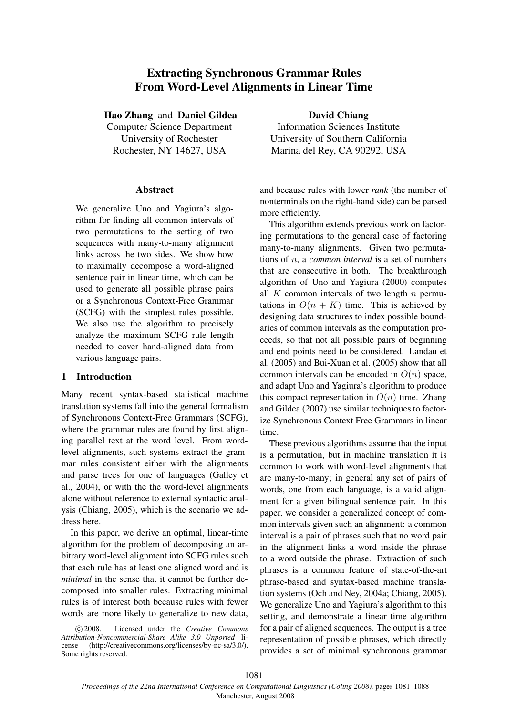# Extracting Synchronous Grammar Rules From Word-Level Alignments in Linear Time

Hao Zhang and Daniel Gildea

Computer Science Department University of Rochester Rochester, NY 14627, USA

#### Abstract

We generalize Uno and Yagiura's algorithm for finding all common intervals of two permutations to the setting of two sequences with many-to-many alignment links across the two sides. We show how to maximally decompose a word-aligned sentence pair in linear time, which can be used to generate all possible phrase pairs or a Synchronous Context-Free Grammar (SCFG) with the simplest rules possible. We also use the algorithm to precisely analyze the maximum SCFG rule length needed to cover hand-aligned data from various language pairs.

# 1 Introduction

Many recent syntax-based statistical machine translation systems fall into the general formalism of Synchronous Context-Free Grammars (SCFG), where the grammar rules are found by first aligning parallel text at the word level. From wordlevel alignments, such systems extract the grammar rules consistent either with the alignments and parse trees for one of languages (Galley et al., 2004), or with the the word-level alignments alone without reference to external syntactic analysis (Chiang, 2005), which is the scenario we address here.

In this paper, we derive an optimal, linear-time algorithm for the problem of decomposing an arbitrary word-level alignment into SCFG rules such that each rule has at least one aligned word and is *minimal* in the sense that it cannot be further decomposed into smaller rules. Extracting minimal rules is of interest both because rules with fewer words are more likely to generalize to new data,

David Chiang Information Sciences Institute University of Southern California Marina del Rey, CA 90292, USA

and because rules with lower *rank* (the number of nonterminals on the right-hand side) can be parsed more efficiently.

This algorithm extends previous work on factoring permutations to the general case of factoring many-to-many alignments. Given two permutations of n, a *common interval* is a set of numbers that are consecutive in both. The breakthrough algorithm of Uno and Yagiura (2000) computes all  $K$  common intervals of two length  $n$  permutations in  $O(n + K)$  time. This is achieved by designing data structures to index possible boundaries of common intervals as the computation proceeds, so that not all possible pairs of beginning and end points need to be considered. Landau et al. (2005) and Bui-Xuan et al. (2005) show that all common intervals can be encoded in  $O(n)$  space, and adapt Uno and Yagiura's algorithm to produce this compact representation in  $O(n)$  time. Zhang and Gildea (2007) use similar techniques to factorize Synchronous Context Free Grammars in linear time.

These previous algorithms assume that the input is a permutation, but in machine translation it is common to work with word-level alignments that are many-to-many; in general any set of pairs of words, one from each language, is a valid alignment for a given bilingual sentence pair. In this paper, we consider a generalized concept of common intervals given such an alignment: a common interval is a pair of phrases such that no word pair in the alignment links a word inside the phrase to a word outside the phrase. Extraction of such phrases is a common feature of state-of-the-art phrase-based and syntax-based machine translation systems (Och and Ney, 2004a; Chiang, 2005). We generalize Uno and Yagiura's algorithm to this setting, and demonstrate a linear time algorithm for a pair of aligned sequences. The output is a tree representation of possible phrases, which directly provides a set of minimal synchronous grammar

c 2008. Licensed under the *Creative Commons Attribution-Noncommercial-Share Alike 3.0 Unported* license (http://creativecommons.org/licenses/by-nc-sa/3.0/). Some rights reserved.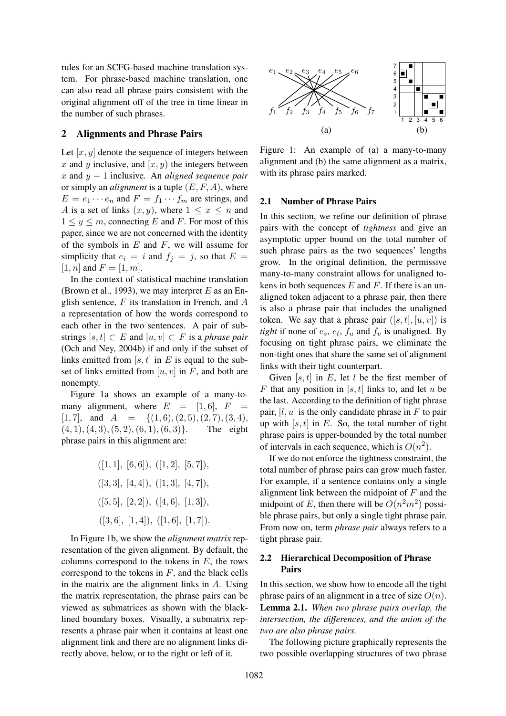rules for an SCFG-based machine translation system. For phrase-based machine translation, one can also read all phrase pairs consistent with the original alignment off of the tree in time linear in the number of such phrases.

# 2 Alignments and Phrase Pairs

Let  $[x, y]$  denote the sequence of integers between x and y inclusive, and  $[x, y)$  the integers between x and y − 1 inclusive. An *aligned sequence pair* or simply an *alignment* is a tuple  $(E, F, A)$ , where  $E = e_1 \cdots e_n$  and  $F = f_1 \cdots f_m$  are strings, and A is a set of links  $(x, y)$ , where  $1 \leq x \leq n$  and  $1 \leq y \leq m$ , connecting E and F. For most of this paper, since we are not concerned with the identity of the symbols in  $E$  and  $F$ , we will assume for simplicity that  $e_i = i$  and  $f_i = j$ , so that  $E =$ [1, *n*] and  $F = [1, m]$ .

In the context of statistical machine translation (Brown et al., 1993), we may interpret  $E$  as an English sentence,  $F$  its translation in French, and  $A$ a representation of how the words correspond to each other in the two sentences. A pair of substrings  $[s, t] \subset E$  and  $[u, v] \subset F$  is a *phrase pair* (Och and Ney, 2004b) if and only if the subset of links emitted from [s, t] in E is equal to the subset of links emitted from  $[u, v]$  in F, and both are nonempty.

Figure 1a shows an example of a many-tomany alignment, where  $E = [1, 6]$ ,  $F =$  $[1, 7]$ , and  $A = \{(1, 6), (2, 5), (2, 7), (3, 4),\}$  $(4, 1), (4, 3), (5, 2), (6, 1), (6, 3)$ . The eight phrase pairs in this alignment are:

$$
([1, 1], [6, 6]), ([1, 2], [5, 7]),
$$

$$
([3, 3], [4, 4]), ([1, 3], [4, 7]),
$$

$$
([5, 5], [2, 2]), ([4, 6], [1, 3]),
$$

$$
([3, 6], [1, 4]), ([1, 6], [1, 7]).
$$

In Figure 1b, we show the *alignment matrix* representation of the given alignment. By default, the columns correspond to the tokens in  $E$ , the rows correspond to the tokens in  $F$ , and the black cells in the matrix are the alignment links in A. Using the matrix representation, the phrase pairs can be viewed as submatrices as shown with the blacklined boundary boxes. Visually, a submatrix represents a phrase pair when it contains at least one alignment link and there are no alignment links directly above, below, or to the right or left of it.



Figure 1: An example of (a) a many-to-many alignment and (b) the same alignment as a matrix, with its phrase pairs marked.

### 2.1 Number of Phrase Pairs

In this section, we refine our definition of phrase pairs with the concept of *tightness* and give an asymptotic upper bound on the total number of such phrase pairs as the two sequences' lengths grow. In the original definition, the permissive many-to-many constraint allows for unaligned tokens in both sequences  $E$  and  $F$ . If there is an unaligned token adjacent to a phrase pair, then there is also a phrase pair that includes the unaligned token. We say that a phrase pair  $([s, t], [u, v])$  is *tight* if none of  $e_s$ ,  $e_t$ ,  $f_u$  and  $f_v$  is unaligned. By focusing on tight phrase pairs, we eliminate the non-tight ones that share the same set of alignment links with their tight counterpart.

Given  $[s, t]$  in E, let l be the first member of F that any position in [s, t] links to, and let u be the last. According to the definition of tight phrase pair,  $[l, u]$  is the only candidate phrase in F to pair up with  $[s, t]$  in E. So, the total number of tight phrase pairs is upper-bounded by the total number of intervals in each sequence, which is  $O(n^2)$ .

If we do not enforce the tightness constraint, the total number of phrase pairs can grow much faster. For example, if a sentence contains only a single alignment link between the midpoint of  $F$  and the midpoint of E, then there will be  $O(n^2m^2)$  possible phrase pairs, but only a single tight phrase pair. From now on, term *phrase pair* always refers to a tight phrase pair.

# 2.2 Hierarchical Decomposition of Phrase Pairs

In this section, we show how to encode all the tight phrase pairs of an alignment in a tree of size  $O(n)$ . Lemma 2.1. *When two phrase pairs overlap, the intersection, the differences, and the union of the two are also phrase pairs.*

The following picture graphically represents the two possible overlapping structures of two phrase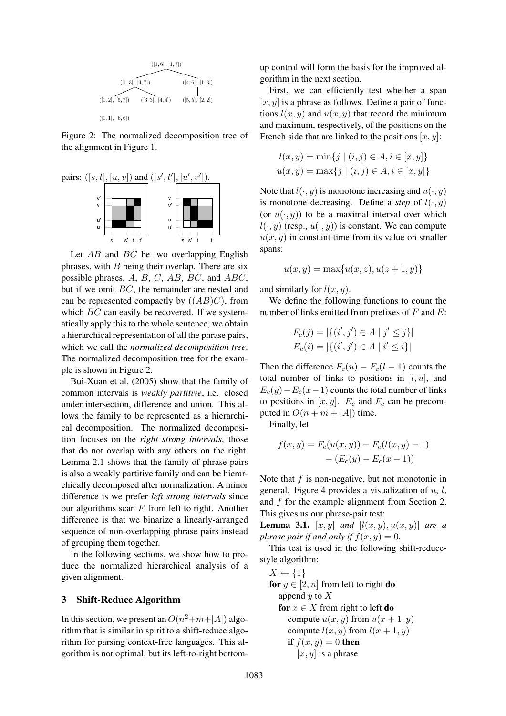

Figure 2: The normalized decomposition tree of the alignment in Figure 1.



Let  $AB$  and  $BC$  be two overlapping English phrases, with  $B$  being their overlap. There are six possible phrases, A, B, C, AB, BC, and ABC, but if we omit BC, the remainder are nested and can be represented compactly by  $((AB)C)$ , from which BC can easily be recovered. If we systematically apply this to the whole sentence, we obtain a hierarchical representation of all the phrase pairs, which we call the *normalized decomposition tree*. The normalized decomposition tree for the example is shown in Figure 2.

Bui-Xuan et al. (2005) show that the family of common intervals is *weakly partitive*, i.e. closed under intersection, difference and union. This allows the family to be represented as a hierarchical decomposition. The normalized decomposition focuses on the *right strong intervals*, those that do not overlap with any others on the right. Lemma 2.1 shows that the family of phrase pairs is also a weakly partitive family and can be hierarchically decomposed after normalization. A minor difference is we prefer *left strong intervals* since our algorithms scan  $F$  from left to right. Another difference is that we binarize a linearly-arranged sequence of non-overlapping phrase pairs instead of grouping them together.

In the following sections, we show how to produce the normalized hierarchical analysis of a given alignment.

# 3 Shift-Reduce Algorithm

In this section, we present an  $O(n^2+m+|A|)$  algorithm that is similar in spirit to a shift-reduce algorithm for parsing context-free languages. This algorithm is not optimal, but its left-to-right bottomup control will form the basis for the improved algorithm in the next section.

First, we can efficiently test whether a span  $[x, y]$  is a phrase as follows. Define a pair of functions  $l(x, y)$  and  $u(x, y)$  that record the minimum and maximum, respectively, of the positions on the French side that are linked to the positions  $[x, y]$ :

$$
l(x, y) = \min\{j \mid (i, j) \in A, i \in [x, y]\}
$$

$$
u(x, y) = \max\{j \mid (i, j) \in A, i \in [x, y]\}
$$

Note that  $l(\cdot, y)$  is monotone increasing and  $u(\cdot, y)$ is monotone decreasing. Define a *step* of  $l(\cdot, y)$ (or  $u(\cdot, y)$ ) to be a maximal interval over which  $l(\cdot, y)$  (resp.,  $u(\cdot, y)$ ) is constant. We can compute  $u(x, y)$  in constant time from its value on smaller spans:

$$
u(x, y) = \max\{u(x, z), u(z + 1, y)\}\
$$

and similarly for  $l(x, y)$ .

We define the following functions to count the number of links emitted from prefixes of  $F$  and  $E$ :

$$
F_c(j) = |\{(i', j') \in A \mid j' \le j\}|
$$
  

$$
E_c(i) = |\{(i', j') \in A \mid i' \le i\}|
$$

Then the difference  $F_c(u) - F_c(l-1)$  counts the total number of links to positions in  $[l, u]$ , and  $E_c(y)-E_c(x-1)$  counts the total number of links to positions in  $[x, y]$ .  $E_c$  and  $F_c$  can be precomputed in  $O(n + m + |A|)$  time.

Finally, let

$$
f(x,y) = F_c(u(x,y)) - F_c(l(x,y) - 1) - (E_c(y) - E_c(x - 1))
$$

Note that  $f$  is non-negative, but not monotonic in general. Figure 4 provides a visualization of  $u, l$ , and f for the example alignment from Section 2. This gives us our phrase-pair test:

**Lemma 3.1.**  $[x, y]$  *and*  $[l(x, y), u(x, y)]$  *are a phrase pair if and only if*  $f(x, y) = 0$ .

This test is used in the following shift-reducestyle algorithm:

$$
X \leftarrow \{1\}
$$
  
for  $y \in [2, n]$  from left to right **do**  
append y to X  
**for**  $x \in X$  from right to left **do**  
compute  $u(x, y)$  from  $u(x + 1, y)$   
compute  $l(x, y)$  from  $l(x + 1, y)$   
if  $f(x, y) = 0$  **then**  
 $[x, y]$  is a phrase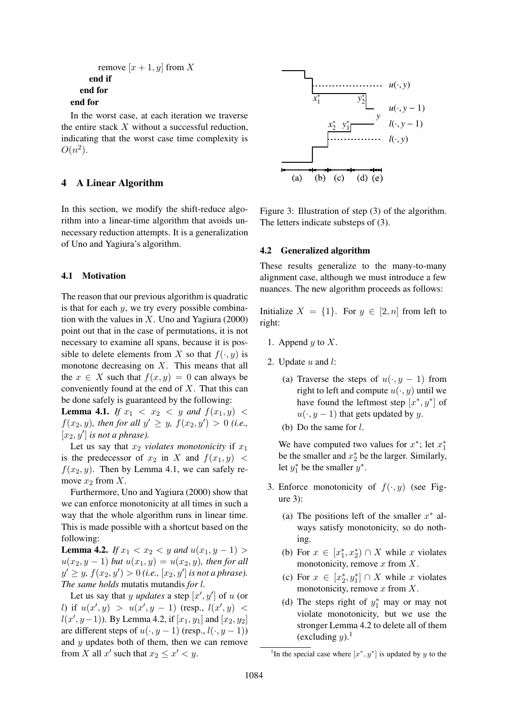```
remove [x + 1, y] from X
    end if
  end for
end for
```
In the worst case, at each iteration we traverse the entire stack  $X$  without a successful reduction, indicating that the worst case time complexity is  $O(n^2)$ .

# 4 A Linear Algorithm

In this section, we modify the shift-reduce algorithm into a linear-time algorithm that avoids unnecessary reduction attempts. It is a generalization of Uno and Yagiura's algorithm.

#### 4.1 Motivation

The reason that our previous algorithm is quadratic is that for each  $y$ , we try every possible combination with the values in  $X$ . Uno and Yagiura (2000) point out that in the case of permutations, it is not necessary to examine all spans, because it is possible to delete elements from X so that  $f(\cdot, y)$  is monotone decreasing on  $X$ . This means that all the  $x \in X$  such that  $f(x, y) = 0$  can always be conveniently found at the end of X. That this can be done safely is guaranteed by the following:

**Lemma 4.1.** *If*  $x_1 < x_2 < y$  *and*  $f(x_1, y) <$  $f(x_2, y)$ *, then for all*  $y' \ge y$ *,*  $f(x_2, y') > 0$  *(i.e.,*  $[x_2, y']$  *is not a phrase*).

Let us say that  $x_2$  *violates monotonicity* if  $x_1$ is the predecessor of  $x_2$  in X and  $f(x_1, y)$  <  $f(x_2, y)$ . Then by Lemma 4.1, we can safely remove  $x_2$  from X.

Furthermore, Uno and Yagiura (2000) show that we can enforce monotonicity at all times in such a way that the whole algorithm runs in linear time. This is made possible with a shortcut based on the following:

**Lemma 4.2.** *If*  $x_1 < x_2 < y$  *and*  $u(x_1, y - 1) >$  $u(x_2, y - 1)$  *but*  $u(x_1, y) = u(x_2, y)$ *, then for all*  $y' \geq y$ ,  $f(x_2, y') > 0$  (i.e.,  $[x_2, y']$  is not a phrase). *The same holds* mutatis mutandis *for* l*.*

Let us say that  $y$  *updates* a step  $[x', y']$  of  $u$  (or *l*) if  $u(x', y) > u(x', y - 1)$  (resp.,  $l(x', y) <$  $l(x', y-1)$ ). By Lemma 4.2, if  $[x_1, y_1]$  and  $[x_2, y_2]$ are different steps of  $u(\cdot, y - 1)$  (resp.,  $l(\cdot, y - 1)$ ) and y updates both of them, then we can remove from X all x' such that  $x_2 \leq x' < y$ .



Figure 3: Illustration of step (3) of the algorithm. The letters indicate substeps of (3).

#### 4.2 Generalized algorithm

These results generalize to the many-to-many alignment case, although we must introduce a few nuances. The new algorithm proceeds as follows:

Initialize  $X = \{1\}$ . For  $y \in [2, n]$  from left to right:

- 1. Append  $y$  to  $X$ .
- 2. Update  $u$  and  $l$ :
	- (a) Traverse the steps of  $u(\cdot, y 1)$  from right to left and compute  $u(\cdot, y)$  until we have found the leftmost step  $[x^*, y^*]$  of  $u(\cdot, y-1)$  that gets updated by y.
	- (b) Do the same for  $l$ .

We have computed two values for  $x^*$ ; let  $x_1^*$ be the smaller and  $x_2^*$  be the larger. Similarly, let  $y_1^*$  be the smaller  $y^*$ .

- 3. Enforce monotonicity of  $f(\cdot, y)$  (see Figure 3):
	- (a) The positions left of the smaller  $x^*$  always satisfy monotonicity, so do nothing.
	- (b) For  $x \in [x_1^*, x_2^*) \cap X$  while x violates monotonicity, remove  $x$  from  $X$ .
	- (c) For  $x \in [x_2^*, y_1^*] \cap X$  while x violates monotonicity, remove  $x$  from  $X$ .
	- (d) The steps right of  $y_1^*$  may or may not violate monotonicity, but we use the stronger Lemma 4.2 to delete all of them (excluding  $y$ ).<sup>1</sup>

<sup>&</sup>lt;sup>1</sup>In the special case where  $[x^*, y^*]$  is updated by y to the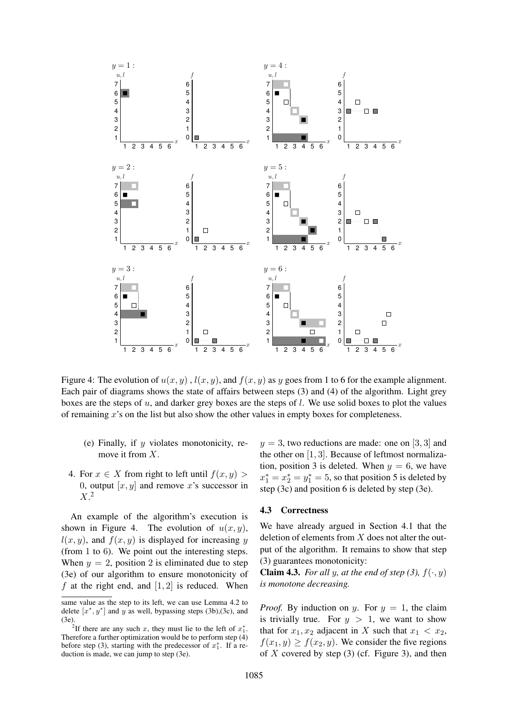

Figure 4: The evolution of  $u(x, y)$ ,  $l(x, y)$ , and  $f(x, y)$  as y goes from 1 to 6 for the example alignment. Each pair of diagrams shows the state of affairs between steps (3) and (4) of the algorithm. Light grey boxes are the steps of u, and darker grey boxes are the steps of l. We use solid boxes to plot the values of remaining  $x$ 's on the list but also show the other values in empty boxes for completeness.

- (e) Finally, if  *violates monotonicity, re*move it from X.
- 4. For  $x \in X$  from right to left until  $f(x, y)$ 0, output  $[x, y]$  and remove x's successor in  $X<sup>2</sup>$

An example of the algorithm's execution is shown in Figure 4. The evolution of  $u(x, y)$ ,  $l(x, y)$ , and  $f(x, y)$  is displayed for increasing y (from 1 to 6). We point out the interesting steps. When  $y = 2$ , position 2 is eliminated due to step (3e) of our algorithm to ensure monotonicity of f at the right end, and  $[1, 2]$  is reduced. When

 $y = 3$ , two reductions are made: one on [3, 3] and the other on [1, 3]. Because of leftmost normalization, position 3 is deleted. When  $y = 6$ , we have  $x_1^* = x_2^* = y_1^* = 5$ , so that position 5 is deleted by step (3c) and position 6 is deleted by step (3e).

#### 4.3 Correctness

We have already argued in Section 4.1 that the deletion of elements from  $X$  does not alter the output of the algorithm. It remains to show that step (3) guarantees monotonicity:

**Claim 4.3.** *For all y, at the end of step (3),*  $f(\cdot, y)$ *is monotone decreasing.*

*Proof.* By induction on y. For  $y = 1$ , the claim is trivially true. For  $y > 1$ , we want to show that for  $x_1, x_2$  adjacent in X such that  $x_1 < x_2$ ,  $f(x_1, y) \ge f(x_2, y)$ . We consider the five regions of X covered by step  $(3)$  (cf. Figure 3), and then

same value as the step to its left, we can use Lemma 4.2 to delete  $[x^*, y^*]$  and y as well, bypassing steps (3b), (3c), and  $(3e)$ 

<sup>&</sup>lt;sup>2</sup>If there are any such x, they must lie to the left of  $x_1^*$ . Therefore a further optimization would be to perform step (4) before step (3), starting with the predecessor of  $x_1^*$ . If a reduction is made, we can jump to step (3e).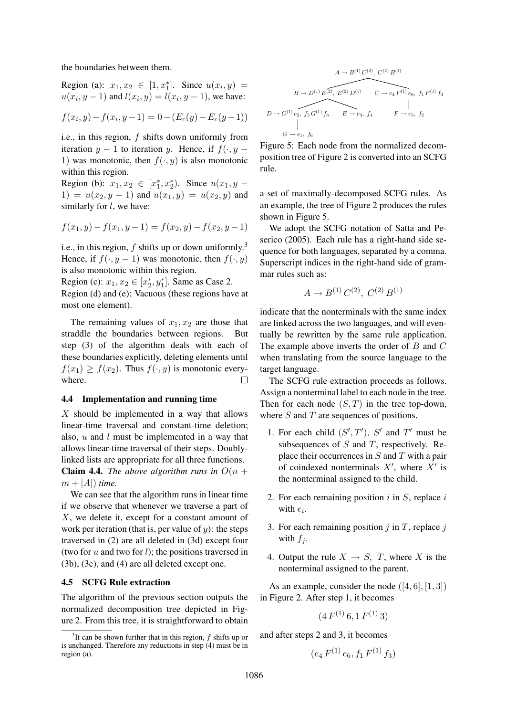the boundaries between them.

Region (a):  $x_1, x_2 \in [1, x_1^*]$ . Since  $u(x_i, y) =$  $u(x_i, y-1)$  and  $l(x_i, y) = l(x_i, y-1)$ , we have:

$$
f(x_i, y) - f(x_i, y - 1) = 0 - (E_c(y) - E_c(y - 1))
$$

i.e., in this region,  $f$  shifts down uniformly from iteration  $y - 1$  to iteration y. Hence, if  $f(\cdot, y -$ 1) was monotonic, then  $f(\cdot, y)$  is also monotonic within this region.

Region (b):  $x_1, x_2 \in [x_1^*, x_2^*)$ . Since  $u(x_1, y -$ 1) =  $u(x_2, y - 1)$  and  $u(x_1, y) = u(x_2, y)$  and similarly for  $l$ , we have:

$$
f(x_1, y) - f(x_1, y - 1) = f(x_2, y) - f(x_2, y - 1)
$$

i.e., in this region,  $f$  shifts up or down uniformly.<sup>3</sup> Hence, if  $f(\cdot, y - 1)$  was monotonic, then  $f(\cdot, y)$ is also monotonic within this region.

Region (c):  $x_1, x_2 \in [x_2^*, y_1^*]$ . Same as Case 2. Region (d) and (e): Vacuous (these regions have at most one element).

The remaining values of  $x_1, x_2$  are those that straddle the boundaries between regions. But step (3) of the algorithm deals with each of these boundaries explicitly, deleting elements until  $f(x_1) \ge f(x_2)$ . Thus  $f(\cdot, y)$  is monotonic everywhere.  $\Box$ 

### 4.4 Implementation and running time

X should be implemented in a way that allows linear-time traversal and constant-time deletion; also,  $u$  and  $l$  must be implemented in a way that allows linear-time traversal of their steps. Doublylinked lists are appropriate for all three functions. **Claim 4.4.** *The above algorithm runs in*  $O(n +$  $m + |A|$ ) *time.* 

We can see that the algorithm runs in linear time if we observe that whenever we traverse a part of X, we delete it, except for a constant amount of work per iteration (that is, per value of  $y$ ): the steps traversed in (2) are all deleted in (3d) except four (two for  $u$  and two for  $l$ ); the positions traversed in (3b), (3c), and (4) are all deleted except one.

## 4.5 SCFG Rule extraction

The algorithm of the previous section outputs the normalized decomposition tree depicted in Figure 2. From this tree, it is straightforward to obtain

$$
A \to B^{(1)}C^{(2)}, C^{(2)}B^{(1)}
$$
  
\n
$$
B \to D^{(1)}E^{(2)}, E^{(2)}D^{(1)}
$$
  
\n
$$
C \to e_4 F^{(1)} e_6, f_1 F^{(1)} f_3
$$
  
\n
$$
D \to G^{(1)} e_2, f_5 G^{(1)} f_6
$$
  
\n
$$
E \to e_3, f_4
$$
  
\n
$$
F \to e_5, f_2
$$
  
\n
$$
G \to e_1, f_6
$$

Figure 5: Each node from the normalized decomposition tree of Figure 2 is converted into an SCFG rule.

a set of maximally-decomposed SCFG rules. As an example, the tree of Figure 2 produces the rules shown in Figure 5.

We adopt the SCFG notation of Satta and Peserico (2005). Each rule has a right-hand side sequence for both languages, separated by a comma. Superscript indices in the right-hand side of grammar rules such as:

$$
A \to B^{(1)}C^{(2)}, C^{(2)}B^{(1)}
$$

indicate that the nonterminals with the same index are linked across the two languages, and will eventually be rewritten by the same rule application. The example above inverts the order of  $B$  and  $C$ when translating from the source language to the target language.

The SCFG rule extraction proceeds as follows. Assign a nonterminal label to each node in the tree. Then for each node  $(S, T)$  in the tree top-down, where  $S$  and  $T$  are sequences of positions,

- 1. For each child  $(S', T')$ , S' and T' must be subsequences of  $S$  and  $T$ , respectively. Replace their occurrences in  $S$  and  $T$  with a pair of coindexed nonterminals  $X'$ , where  $X'$  is the nonterminal assigned to the child.
- 2. For each remaining position  $i$  in  $S$ , replace  $i$ with  $e_i$ .
- 3. For each remaining position  $j$  in  $T$ , replace  $j$ with  $f_i$ .
- 4. Output the rule  $X \rightarrow S$ , T, where X is the nonterminal assigned to the parent.

As an example, consider the node  $([4, 6], [1, 3])$ in Figure 2. After step 1, it becomes

$$
(4 F^{(1)} 6, 1 F^{(1)} 3)
$$

and after steps 2 and 3, it becomes

$$
(e_4 F^{(1)} e_6, f_1 F^{(1)} f_3)
$$

<sup>&</sup>lt;sup>3</sup>It can be shown further that in this region,  $f$  shifts up or is unchanged. Therefore any reductions in step (4) must be in region (a).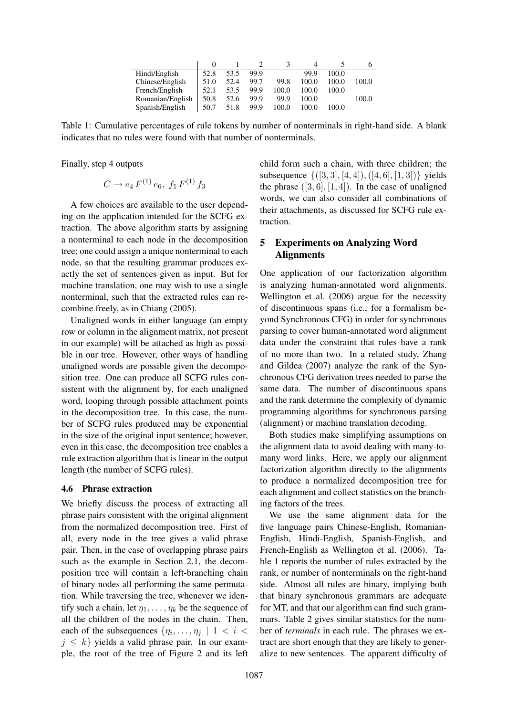| Hindi/English    | 52.8 | 53.5 | 99.9 |       | 99.9  | 100.0 |       |
|------------------|------|------|------|-------|-------|-------|-------|
| Chinese/English  | 51.0 | 52.4 | 99.7 | 99.8  | 100.0 | 100.0 | 100.0 |
| French/English   | 52.1 | 53.5 | 99.9 | 100.0 | 100.0 | 100.0 |       |
| Romanian/English | 50.8 | 52.6 | 99.9 | 99.9  | 100.0 |       | 100.0 |
| Spanish/English  | 50.7 | 51.8 | 99.9 | 100.0 | 100.0 | 100.0 |       |

Table 1: Cumulative percentages of rule tokens by number of nonterminals in right-hand side. A blank indicates that no rules were found with that number of nonterminals.

Finally, step 4 outputs

$$
C \to e_4 \, F^{(1)} \, e_6, \ f_1 \, F^{(1)} \, f_3
$$

A few choices are available to the user depending on the application intended for the SCFG extraction. The above algorithm starts by assigning a nonterminal to each node in the decomposition tree; one could assign a unique nonterminal to each node, so that the resulting grammar produces exactly the set of sentences given as input. But for machine translation, one may wish to use a single nonterminal, such that the extracted rules can recombine freely, as in Chiang (2005).

Unaligned words in either language (an empty row or column in the alignment matrix, not present in our example) will be attached as high as possible in our tree. However, other ways of handling unaligned words are possible given the decomposition tree. One can produce all SCFG rules consistent with the alignment by, for each unaligned word, looping through possible attachment points in the decomposition tree. In this case, the number of SCFG rules produced may be exponential in the size of the original input sentence; however, even in this case, the decomposition tree enables a rule extraction algorithm that is linear in the output length (the number of SCFG rules).

#### 4.6 Phrase extraction

We briefly discuss the process of extracting all phrase pairs consistent with the original alignment from the normalized decomposition tree. First of all, every node in the tree gives a valid phrase pair. Then, in the case of overlapping phrase pairs such as the example in Section 2.1, the decomposition tree will contain a left-branching chain of binary nodes all performing the same permutation. While traversing the tree, whenever we identify such a chain, let  $\eta_1, \ldots, \eta_k$  be the sequence of all the children of the nodes in the chain. Then, each of the subsequences  $\{\eta_i, \dots, \eta_j \mid 1 \leq i \leq j\}$  $j \leq k$  yields a valid phrase pair. In our example, the root of the tree of Figure 2 and its left child form such a chain, with three children; the subsequence  $\{(3, 3), [4, 4]), ([4, 6], [1, 3])\}$  yields the phrase  $([3, 6], [1, 4])$ . In the case of unaligned words, we can also consider all combinations of their attachments, as discussed for SCFG rule extraction.

# 5 Experiments on Analyzing Word **Alignments**

One application of our factorization algorithm is analyzing human-annotated word alignments. Wellington et al. (2006) argue for the necessity of discontinuous spans (i.e., for a formalism beyond Synchronous CFG) in order for synchronous parsing to cover human-annotated word alignment data under the constraint that rules have a rank of no more than two. In a related study, Zhang and Gildea (2007) analyze the rank of the Synchronous CFG derivation trees needed to parse the same data. The number of discontinuous spans and the rank determine the complexity of dynamic programming algorithms for synchronous parsing (alignment) or machine translation decoding.

Both studies make simplifying assumptions on the alignment data to avoid dealing with many-tomany word links. Here, we apply our alignment factorization algorithm directly to the alignments to produce a normalized decomposition tree for each alignment and collect statistics on the branching factors of the trees.

We use the same alignment data for the five language pairs Chinese-English, Romanian-English, Hindi-English, Spanish-English, and French-English as Wellington et al. (2006). Table 1 reports the number of rules extracted by the rank, or number of nonterminals on the right-hand side. Almost all rules are binary, implying both that binary synchronous grammars are adequate for MT, and that our algorithm can find such grammars. Table 2 gives similar statistics for the number of *terminals* in each rule. The phrases we extract are short enough that they are likely to generalize to new sentences. The apparent difficulty of